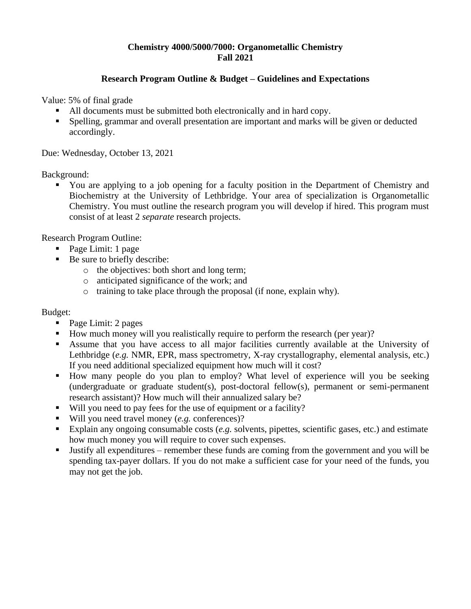### **Chemistry 4000/5000/7000: Organometallic Chemistry Fall 2021**

### **Research Program Outline & Budget – Guidelines and Expectations**

Value: 5% of final grade

- All documents must be submitted both electronically and in hard copy.
- Spelling, grammar and overall presentation are important and marks will be given or deducted accordingly.

Due: Wednesday, October 13, 2021

Background:

You are applying to a job opening for a faculty position in the Department of Chemistry and Biochemistry at the University of Lethbridge. Your area of specialization is Organometallic Chemistry. You must outline the research program you will develop if hired. This program must consist of at least 2 *separate* research projects.

Research Program Outline:

- Page Limit: 1 page
- Be sure to briefly describe:
	- o the objectives: both short and long term;
	- o anticipated significance of the work; and
	- o training to take place through the proposal (if none, explain why).

#### Budget:

- Page Limit: 2 pages
- How much money will you realistically require to perform the research (per year)?
- Assume that you have access to all major facilities currently available at the University of Lethbridge (*e.g.* NMR, EPR, mass spectrometry, X-ray crystallography, elemental analysis, etc.) If you need additional specialized equipment how much will it cost?
- How many people do you plan to employ? What level of experience will you be seeking (undergraduate or graduate student(s), post-doctoral fellow(s), permanent or semi-permanent research assistant)? How much will their annualized salary be?
- Will you need to pay fees for the use of equipment or a facility?
- Will you need travel money (*e.g.* conferences)?
- Explain any ongoing consumable costs (*e.g.* solvents, pipettes, scientific gases, etc.) and estimate how much money you will require to cover such expenses.
- Justify all expenditures remember these funds are coming from the government and you will be spending tax-payer dollars. If you do not make a sufficient case for your need of the funds, you may not get the job.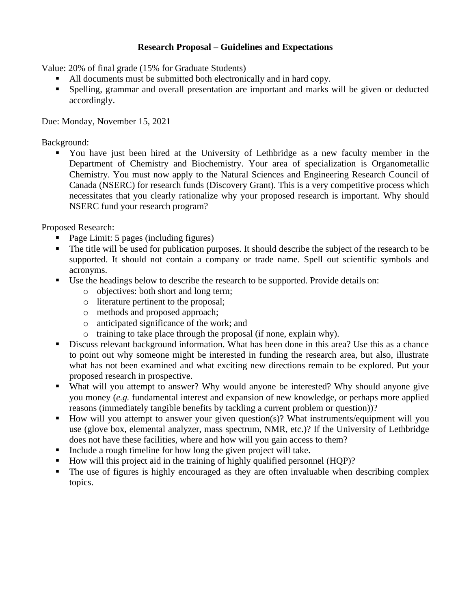## **Research Proposal – Guidelines and Expectations**

Value: 20% of final grade (15% for Graduate Students)

- All documents must be submitted both electronically and in hard copy.
- Spelling, grammar and overall presentation are important and marks will be given or deducted accordingly.

Due: Monday, November 15, 2021

Background:

▪ You have just been hired at the University of Lethbridge as a new faculty member in the Department of Chemistry and Biochemistry. Your area of specialization is Organometallic Chemistry. You must now apply to the Natural Sciences and Engineering Research Council of Canada (NSERC) for research funds (Discovery Grant). This is a very competitive process which necessitates that you clearly rationalize why your proposed research is important. Why should NSERC fund your research program?

Proposed Research:

- Page Limit: 5 pages (including figures)
- The title will be used for publication purposes. It should describe the subject of the research to be supported. It should not contain a company or trade name. Spell out scientific symbols and acronyms.
- Use the headings below to describe the research to be supported. Provide details on:
	- o objectives: both short and long term;
	- o literature pertinent to the proposal;
	- o methods and proposed approach;
	- o anticipated significance of the work; and
	- o training to take place through the proposal (if none, explain why).
- **•** Discuss relevant background information. What has been done in this area? Use this as a chance to point out why someone might be interested in funding the research area, but also, illustrate what has not been examined and what exciting new directions remain to be explored. Put your proposed research in prospective.
- What will you attempt to answer? Why would anyone be interested? Why should anyone give you money (*e.g.* fundamental interest and expansion of new knowledge, or perhaps more applied reasons (immediately tangible benefits by tackling a current problem or question))?
- How will you attempt to answer your given question(s)? What instruments/equipment will you use (glove box, elemental analyzer, mass spectrum, NMR, etc.)? If the University of Lethbridge does not have these facilities, where and how will you gain access to them?
- Include a rough timeline for how long the given project will take.
- How will this project aid in the training of highly qualified personnel (HQP)?
- The use of figures is highly encouraged as they are often invaluable when describing complex topics.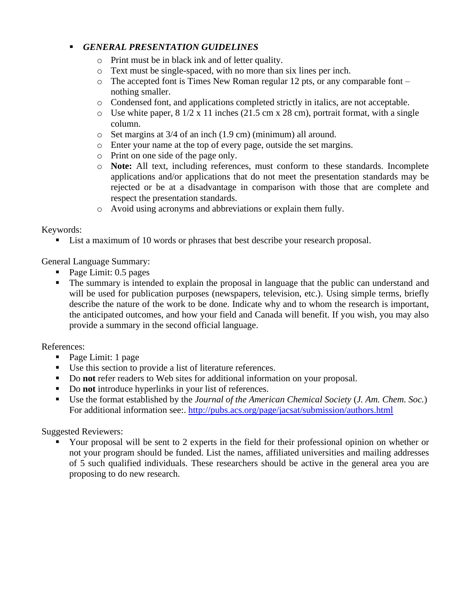# ▪ *GENERAL PRESENTATION GUIDELINES*

- o Print must be in black ink and of letter quality.
- o Text must be single-spaced, with no more than six lines per inch.
- $\circ$  The accepted font is Times New Roman regular 12 pts, or any comparable font nothing smaller.
- o Condensed font, and applications completed strictly in italics, are not acceptable.
- $\circ$  Use white paper, 8 1/2 x 11 inches (21.5 cm x 28 cm), portrait format, with a single column.
- o Set margins at 3/4 of an inch (1.9 cm) (minimum) all around.
- o Enter your name at the top of every page, outside the set margins.
- o Print on one side of the page only.
- o **Note:** All text, including references, must conform to these standards. Incomplete applications and/or applications that do not meet the presentation standards may be rejected or be at a disadvantage in comparison with those that are complete and respect the presentation standards.
- o Avoid using acronyms and abbreviations or explain them fully.

#### Keywords:

■ List a maximum of 10 words or phrases that best describe your research proposal.

General Language Summary:

- Page Limit: 0.5 pages
- The summary is intended to explain the proposal in language that the public can understand and will be used for publication purposes (newspapers, television, etc.). Using simple terms, briefly describe the nature of the work to be done. Indicate why and to whom the research is important, the anticipated outcomes, and how your field and Canada will benefit. If you wish, you may also provide a summary in the second official language.

## References:

- Page Limit: 1 page
- Use this section to provide a list of literature references.
- Do **not** refer readers to Web sites for additional information on your proposal.
- Do **not** introduce hyperlinks in your list of references.
- Use the format established by the *Journal of the American Chemical Society* (*J. Am. Chem. Soc.*) For additional information see:.<http://pubs.acs.org/page/jacsat/submission/authors.html>

Suggested Reviewers:

Your proposal will be sent to 2 experts in the field for their professional opinion on whether or not your program should be funded. List the names, affiliated universities and mailing addresses of 5 such qualified individuals. These researchers should be active in the general area you are proposing to do new research.